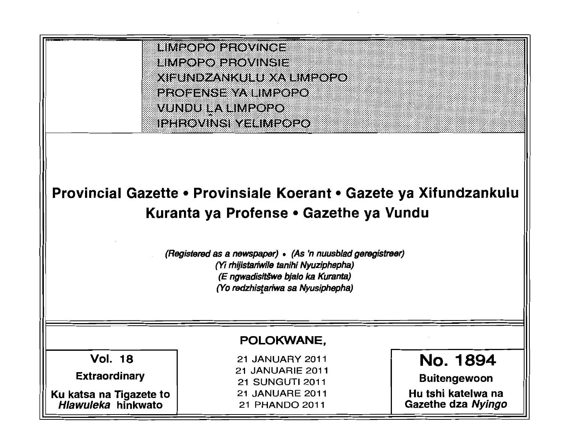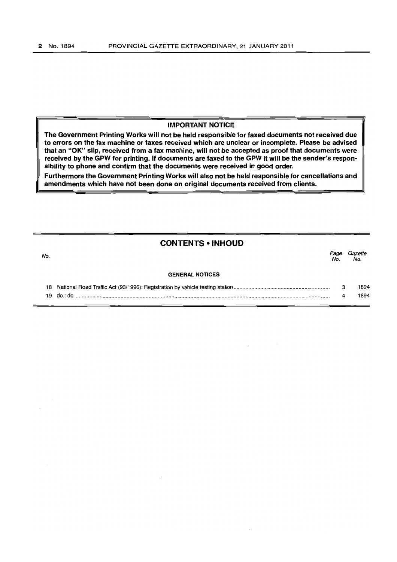#### IMPORTANT NOTICE

The Government Printing Works will not be held responsible for faxed documents not received due to errors on the fax machine or faxes received which are unclear or incomplete. Please be advised that an "OK" slip, received from a fax machine, will not be accepted as proof that documents were received by the GPW for printing. If documents are faxed to the GPW it will be the sender's responsibility to phone and confirm that the documents were received in good order.

Furthermore the Government Printing Works will also not be held responsible for cancellations and amendments which have not been done on original documents received from clients.

## **CONTENTS • INHOUD**

19 do.: do ........................................................................................................................................................................... .

no.<br>No. Page Gazette GENERAL NOTICES 18 National Road Traffic Act (93/1996): Registration by vehicle testing station ................................................................ . No. No. 3 1894 1894

4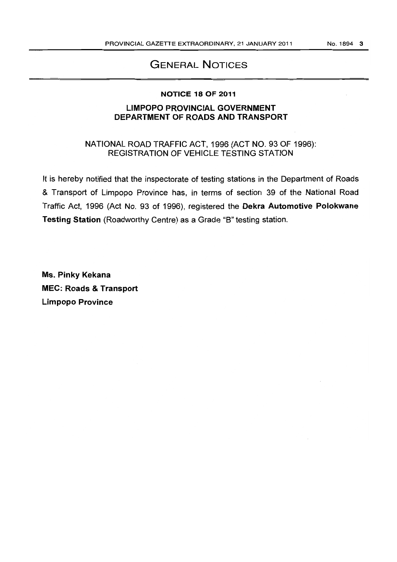# GENERAL NOTICES

#### NOTICE 18 OF 2011

# LIMPOPO PROVINCIAL GOVERNMENT DEPARTMENT OF ROADS AND TRANSPORT

NATIONAL ROAD TRAFFIC ACT, 1996 (ACT NO. 93 OF 1996): REGISTRATION OF VEHICLE TESTING STATION

It is hereby notified that the inspectorate of testing stations in the Department of Roads & Transport of Limpopo Province has, in terms of section 39 of the National Road Traffic Act, 1996 (Act No. 93 of 1996), registered the Dekra Automotive Polokwane Testing Station (Roadworthy Centre) as a Grade "8" testing station.

Ms. Pinky Kekana MEC: Roads & Transport Limpopo Province